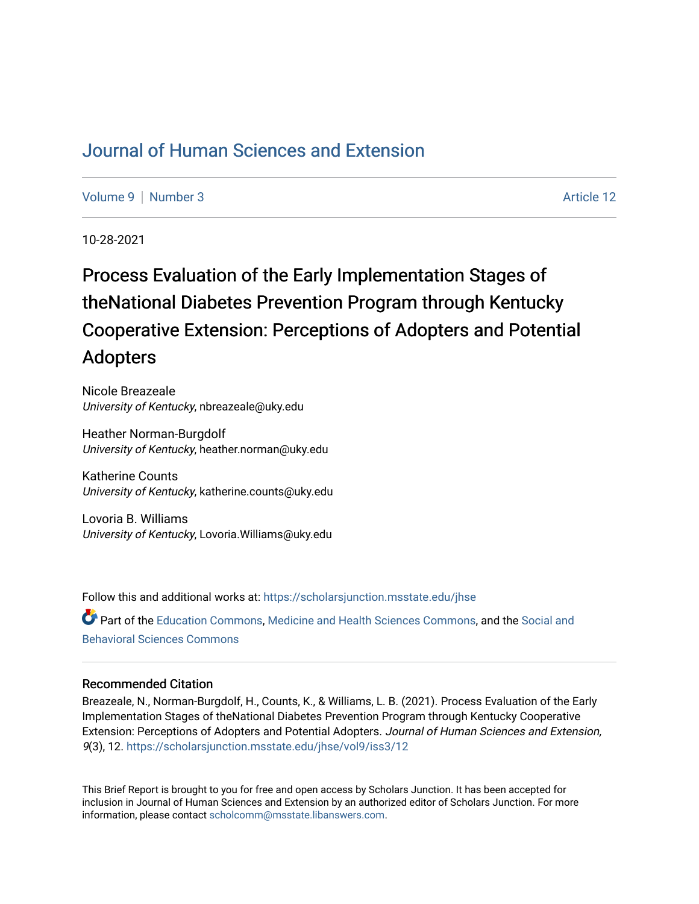## [Journal of Human Sciences and Extension](https://scholarsjunction.msstate.edu/jhse)

[Volume 9](https://scholarsjunction.msstate.edu/jhse/vol9) | [Number 3](https://scholarsjunction.msstate.edu/jhse/vol9/iss3) Article 12

10-28-2021

# Process Evaluation of the Early Implementation Stages of theNational Diabetes Prevention Program through Kentucky Cooperative Extension: Perceptions of Adopters and Potential Adopters

Nicole Breazeale University of Kentucky, nbreazeale@uky.edu

Heather Norman-Burgdolf University of Kentucky, heather.norman@uky.edu

Katherine Counts University of Kentucky, katherine.counts@uky.edu

Lovoria B. Williams University of Kentucky, Lovoria.Williams@uky.edu

Follow this and additional works at: [https://scholarsjunction.msstate.edu/jhse](https://scholarsjunction.msstate.edu/jhse?utm_source=scholarsjunction.msstate.edu%2Fjhse%2Fvol9%2Fiss3%2F12&utm_medium=PDF&utm_campaign=PDFCoverPages) Part of the [Education Commons](http://network.bepress.com/hgg/discipline/784?utm_source=scholarsjunction.msstate.edu%2Fjhse%2Fvol9%2Fiss3%2F12&utm_medium=PDF&utm_campaign=PDFCoverPages), [Medicine and Health Sciences Commons,](http://network.bepress.com/hgg/discipline/648?utm_source=scholarsjunction.msstate.edu%2Fjhse%2Fvol9%2Fiss3%2F12&utm_medium=PDF&utm_campaign=PDFCoverPages) and the [Social and](http://network.bepress.com/hgg/discipline/316?utm_source=scholarsjunction.msstate.edu%2Fjhse%2Fvol9%2Fiss3%2F12&utm_medium=PDF&utm_campaign=PDFCoverPages) [Behavioral Sciences Commons](http://network.bepress.com/hgg/discipline/316?utm_source=scholarsjunction.msstate.edu%2Fjhse%2Fvol9%2Fiss3%2F12&utm_medium=PDF&utm_campaign=PDFCoverPages) 

#### Recommended Citation

Breazeale, N., Norman-Burgdolf, H., Counts, K., & Williams, L. B. (2021). Process Evaluation of the Early Implementation Stages of theNational Diabetes Prevention Program through Kentucky Cooperative Extension: Perceptions of Adopters and Potential Adopters. Journal of Human Sciences and Extension, 9(3), 12. [https://scholarsjunction.msstate.edu/jhse/vol9/iss3/12](https://scholarsjunction.msstate.edu/jhse/vol9/iss3/12?utm_source=scholarsjunction.msstate.edu%2Fjhse%2Fvol9%2Fiss3%2F12&utm_medium=PDF&utm_campaign=PDFCoverPages) 

This Brief Report is brought to you for free and open access by Scholars Junction. It has been accepted for inclusion in Journal of Human Sciences and Extension by an authorized editor of Scholars Junction. For more information, please contact [scholcomm@msstate.libanswers.com](mailto:scholcomm@msstate.libanswers.com).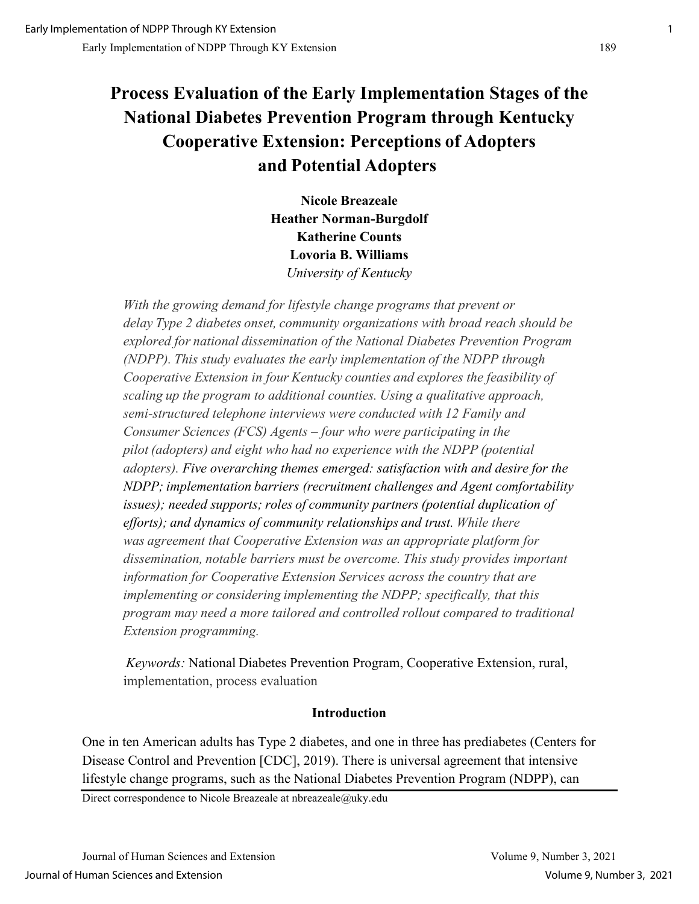## **Process Evaluation of the Early Implementation Stages of the National Diabetes Prevention Program through Kentucky Cooperative Extension: Perceptions of Adopters and Potential Adopters**

**Nicole Breazeale Heather Norman-Burgdolf Katherine Counts Lovoria B. Williams**  *University of Kentucky*

*With the growing demand for lifestyle change programs that prevent or delay Type 2 diabetes onset, community organizations with broad reach should be explored for national dissemination of the National Diabetes Prevention Program (NDPP). This study evaluates the early implementation of the NDPP through Cooperative Extension in four Kentucky counties and explores the feasibility of scaling up the program to additional counties. Using a qualitative approach, semi-structured telephone interviews were conducted with 12 Family and Consumer Sciences (FCS) Agents – four who were participating in the pilot (adopters) and eight who had no experience with the NDPP (potential adopters). Five overarching themes emerged: satisfaction with and desire for the NDPP; implementation barriers (recruitment challenges and Agent comfortability issues); needed supports; roles of community partners (potential duplication of efforts); and dynamics of community relationships and trust. While there was agreement that Cooperative Extension was an appropriate platform for dissemination, notable barriers must be overcome. This study provides important information for Cooperative Extension Services across the country that are implementing or considering implementing the NDPP; specifically, that this program may need a more tailored and controlled rollout compared to traditional Extension programming.*

*Keywords:* National Diabetes Prevention Program, Cooperative Extension, rural, implementation, process evaluation 

#### **Introduction**

One in ten American adults has Type 2 diabetes, and one in three has prediabetes (Centers for Disease Control and Prevention [CDC], 2019). There is universal agreement that intensive lifestyle change programs, such as the National Diabetes Prevention Program (NDPP), can

Direct correspondence to Nicole Breazeale at nbreazeale@uky.edu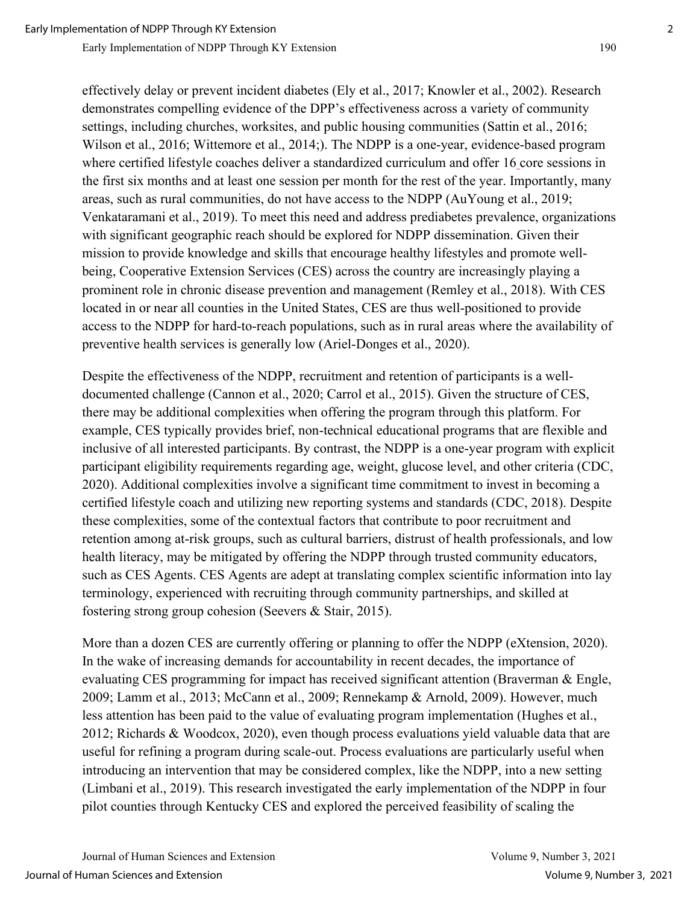effectively delay or prevent incident diabetes (Ely et al., 2017; Knowler et al., 2002). Research demonstrates compelling evidence of the DPP's effectiveness across a variety of community settings, including churches, worksites, and public housing communities (Sattin et al., 2016; Wilson et al., 2016; Wittemore et al., 2014;). The NDPP is a one-year, evidence-based program where certified lifestyle coaches deliver a standardized curriculum and offer 16 core sessions in the first six months and at least one session per month for the rest of the year. Importantly, many areas, such as rural communities, do not have access to the NDPP (AuYoung et al., 2019; Venkataramani et al., 2019). To meet this need and address prediabetes prevalence, organizations with significant geographic reach should be explored for NDPP dissemination. Given their mission to provide knowledge and skills that encourage healthy lifestyles and promote wellbeing, Cooperative Extension Services (CES) across the country are increasingly playing a prominent role in chronic disease prevention and management (Remley et al., 2018). With CES located in or near all counties in the United States, CES are thus well-positioned to provide access to the NDPP for hard-to-reach populations, such as in rural areas where the availability of preventive health services is generally low (Ariel-Donges et al., 2020).

Despite the effectiveness of the NDPP, recruitment and retention of participants is a welldocumented challenge (Cannon et al., 2020; Carrol et al., 2015). Given the structure of CES, there may be additional complexities when offering the program through this platform. For example, CES typically provides brief, non-technical educational programs that are flexible and inclusive of all interested participants. By contrast, the NDPP is a one-year program with explicit participant eligibility requirements regarding age, weight, glucose level, and other criteria (CDC, 2020). Additional complexities involve a significant time commitment to invest in becoming a certified lifestyle coach and utilizing new reporting systems and standards (CDC, 2018). Despite these complexities, some of the contextual factors that contribute to poor recruitment and retention among at-risk groups, such as cultural barriers, distrust of health professionals, and low health literacy, may be mitigated by offering the NDPP through trusted community educators, such as CES Agents. CES Agents are adept at translating complex scientific information into lay terminology, experienced with recruiting through community partnerships, and skilled at fostering strong group cohesion (Seevers & Stair, 2015).

More than a dozen CES are currently offering or planning to offer the NDPP (eXtension, 2020). In the wake of increasing demands for accountability in recent decades, the importance of evaluating CES programming for impact has received significant attention (Braverman & Engle, 2009; Lamm et al., 2013; McCann et al., 2009; Rennekamp & Arnold, 2009). However, much less attention has been paid to the value of evaluating program implementation (Hughes et al., 2012; Richards & Woodcox, 2020), even though process evaluations yield valuable data that are useful for refining a program during scale-out. Process evaluations are particularly useful when introducing an intervention that may be considered complex, like the NDPP, into a new setting (Limbani et al., 2019). This research investigated the early implementation of the NDPP in four pilot counties through Kentucky CES and explored the perceived feasibility of scaling the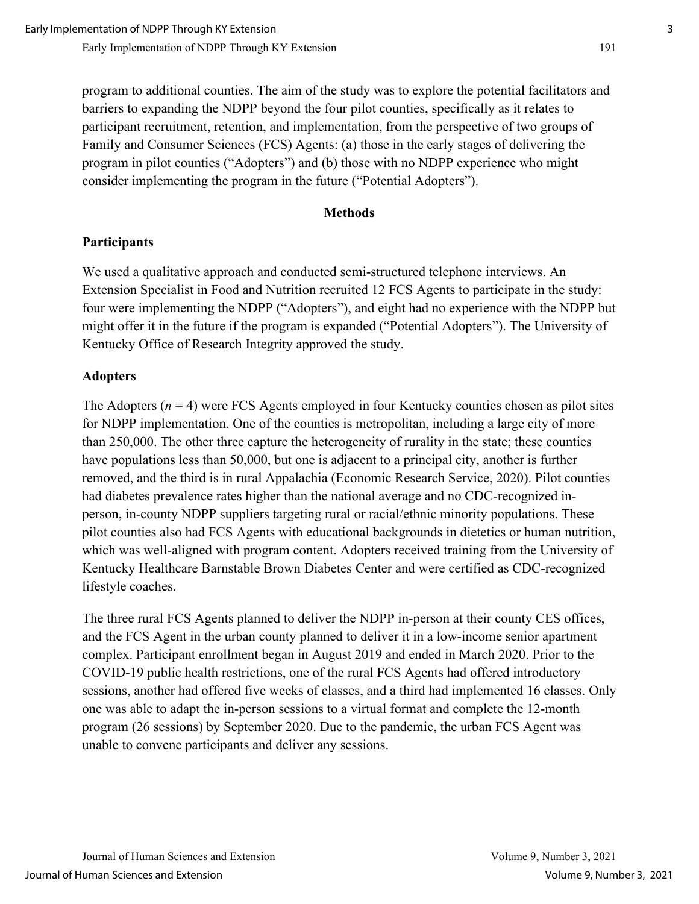program to additional counties. The aim of the study was to explore the potential facilitators and barriers to expanding the NDPP beyond the four pilot counties, specifically as it relates to participant recruitment, retention, and implementation, from the perspective of two groups of Family and Consumer Sciences (FCS) Agents: (a) those in the early stages of delivering the program in pilot counties ("Adopters") and (b) those with no NDPP experience who might consider implementing the program in the future ("Potential Adopters").

#### **Methods**

#### **Participants**

We used a qualitative approach and conducted semi-structured telephone interviews. An Extension Specialist in Food and Nutrition recruited 12 FCS Agents to participate in the study: four were implementing the NDPP ("Adopters"), and eight had no experience with the NDPP but might offer it in the future if the program is expanded ("Potential Adopters"). The University of Kentucky Office of Research Integrity approved the study.

#### **Adopters**

The Adopters  $(n = 4)$  were FCS Agents employed in four Kentucky counties chosen as pilot sites for NDPP implementation. One of the counties is metropolitan, including a large city of more than 250,000. The other three capture the heterogeneity of rurality in the state; these counties have populations less than 50,000, but one is adjacent to a principal city, another is further removed, and the third is in rural Appalachia (Economic Research Service, 2020). Pilot counties had diabetes prevalence rates higher than the national average and no CDC-recognized inperson, in-county NDPP suppliers targeting rural or racial/ethnic minority populations. These pilot counties also had FCS Agents with educational backgrounds in dietetics or human nutrition, which was well-aligned with program content. Adopters received training from the University of Kentucky Healthcare Barnstable Brown Diabetes Center and were certified as CDC-recognized lifestyle coaches.

The three rural FCS Agents planned to deliver the NDPP in-person at their county CES offices, and the FCS Agent in the urban county planned to deliver it in a low-income senior apartment complex. Participant enrollment began in August 2019 and ended in March 2020. Prior to the COVID-19 public health restrictions, one of the rural FCS Agents had offered introductory sessions, another had offered five weeks of classes, and a third had implemented 16 classes. Only one was able to adapt the in-person sessions to a virtual format and complete the 12-month program (26 sessions) by September 2020. Due to the pandemic, the urban FCS Agent was unable to convene participants and deliver any sessions.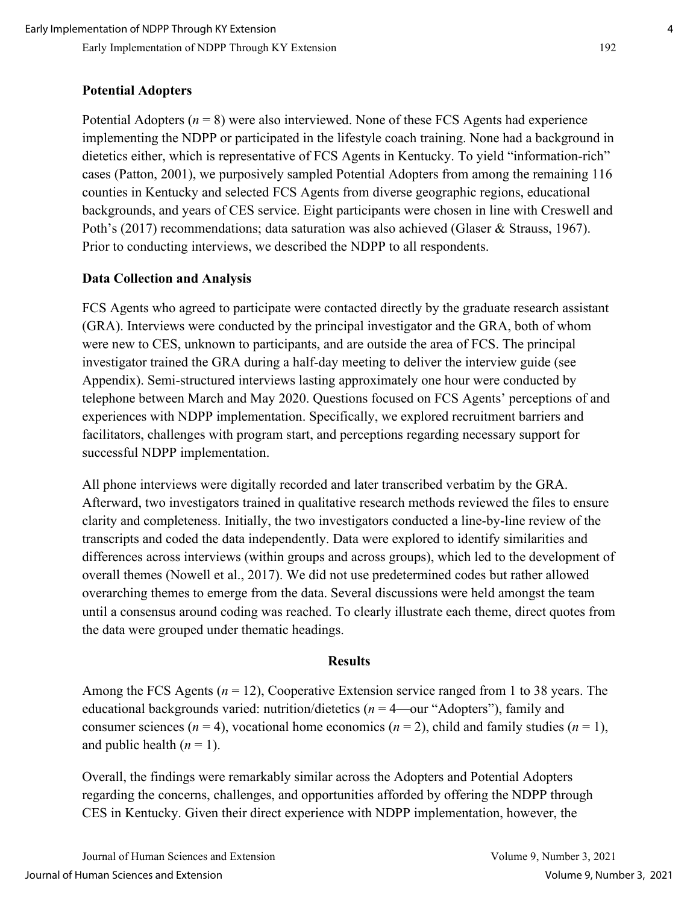### **Potential Adopters**

Potential Adopters (*n* = 8) were also interviewed. None of these FCS Agents had experience implementing the NDPP or participated in the lifestyle coach training. None had a background in dietetics either, which is representative of FCS Agents in Kentucky. To yield "information-rich" cases (Patton, 2001), we purposively sampled Potential Adopters from among the remaining 116 counties in Kentucky and selected FCS Agents from diverse geographic regions, educational backgrounds, and years of CES service. Eight participants were chosen in line with Creswell and Poth's (2017) recommendations; data saturation was also achieved (Glaser & Strauss, 1967). Prior to conducting interviews, we described the NDPP to all respondents.

#### **Data Collection and Analysis**

FCS Agents who agreed to participate were contacted directly by the graduate research assistant (GRA). Interviews were conducted by the principal investigator and the GRA, both of whom were new to CES, unknown to participants, and are outside the area of FCS. The principal investigator trained the GRA during a half-day meeting to deliver the interview guide (see Appendix). Semi-structured interviews lasting approximately one hour were conducted by telephone between March and May 2020. Questions focused on FCS Agents' perceptions of and experiences with NDPP implementation. Specifically, we explored recruitment barriers and facilitators, challenges with program start, and perceptions regarding necessary support for successful NDPP implementation.

All phone interviews were digitally recorded and later transcribed verbatim by the GRA. Afterward, two investigators trained in qualitative research methods reviewed the files to ensure clarity and completeness. Initially, the two investigators conducted a line-by-line review of the transcripts and coded the data independently. Data were explored to identify similarities and differences across interviews (within groups and across groups), which led to the development of overall themes (Nowell et al., 2017). We did not use predetermined codes but rather allowed overarching themes to emerge from the data. Several discussions were held amongst the team until a consensus around coding was reached. To clearly illustrate each theme, direct quotes from the data were grouped under thematic headings.

#### **Results**

Among the FCS Agents (*n* = 12), Cooperative Extension service ranged from 1 to 38 years. The educational backgrounds varied: nutrition/dietetics (*n* = 4—our "Adopters"), family and consumer sciences ( $n = 4$ ), vocational home economics ( $n = 2$ ), child and family studies ( $n = 1$ ), and public health  $(n = 1)$ .

Overall, the findings were remarkably similar across the Adopters and Potential Adopters regarding the concerns, challenges, and opportunities afforded by offering the NDPP through CES in Kentucky. Given their direct experience with NDPP implementation, however, the

Journal of Human Sciences and Extension Volume 9, Number 3, 2021 Journal of Human Sciences and Extension Volume 9, Number 3, 2021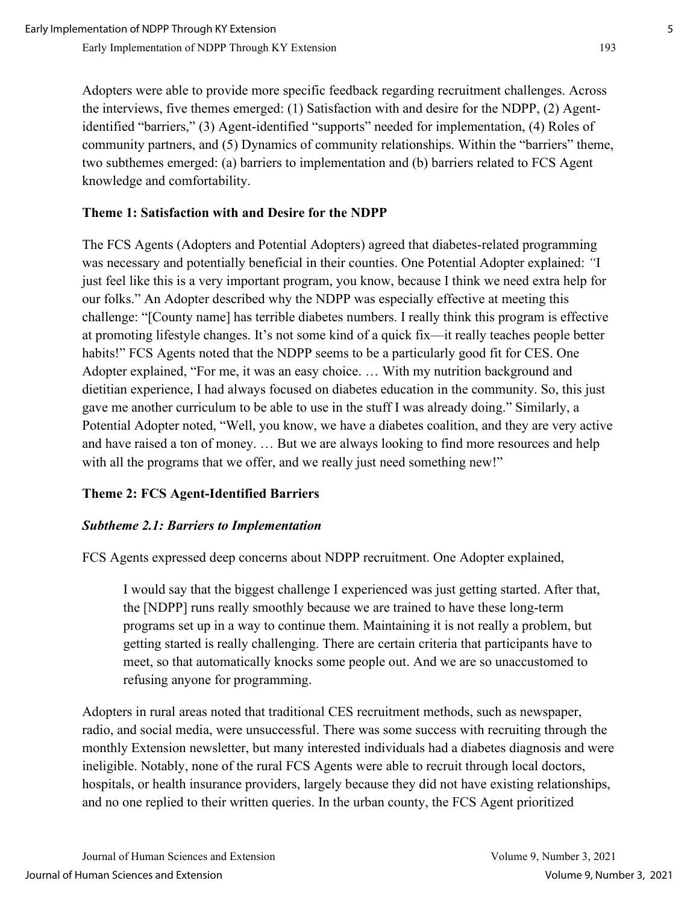Adopters were able to provide more specific feedback regarding recruitment challenges. Across the interviews, five themes emerged: (1) Satisfaction with and desire for the NDPP, (2) Agentidentified "barriers," (3) Agent-identified "supports" needed for implementation, (4) Roles of community partners, and (5) Dynamics of community relationships. Within the "barriers" theme, two subthemes emerged: (a) barriers to implementation and (b) barriers related to FCS Agent knowledge and comfortability.

## **Theme 1: Satisfaction with and Desire for the NDPP**

The FCS Agents (Adopters and Potential Adopters) agreed that diabetes-related programming was necessary and potentially beneficial in their counties. One Potential Adopter explained: *"*I just feel like this is a very important program, you know, because I think we need extra help for our folks." An Adopter described why the NDPP was especially effective at meeting this challenge: "[County name] has terrible diabetes numbers. I really think this program is effective at promoting lifestyle changes. It's not some kind of a quick fix—it really teaches people better habits!" FCS Agents noted that the NDPP seems to be a particularly good fit for CES. One Adopter explained, "For me, it was an easy choice. … With my nutrition background and dietitian experience, I had always focused on diabetes education in the community. So, this just gave me another curriculum to be able to use in the stuff I was already doing." Similarly, a Potential Adopter noted, "Well, you know, we have a diabetes coalition, and they are very active and have raised a ton of money. … But we are always looking to find more resources and help with all the programs that we offer, and we really just need something new!"

## **Theme 2: FCS Agent-Identified Barriers**

## *Subtheme 2.1: Barriers to Implementation*

FCS Agents expressed deep concerns about NDPP recruitment. One Adopter explained,

I would say that the biggest challenge I experienced was just getting started. After that, the [NDPP] runs really smoothly because we are trained to have these long-term programs set up in a way to continue them. Maintaining it is not really a problem, but getting started is really challenging. There are certain criteria that participants have to meet, so that automatically knocks some people out. And we are so unaccustomed to refusing anyone for programming.

Adopters in rural areas noted that traditional CES recruitment methods, such as newspaper, radio, and social media, were unsuccessful. There was some success with recruiting through the monthly Extension newsletter, but many interested individuals had a diabetes diagnosis and were ineligible. Notably, none of the rural FCS Agents were able to recruit through local doctors, hospitals, or health insurance providers, largely because they did not have existing relationships, and no one replied to their written queries. In the urban county, the FCS Agent prioritized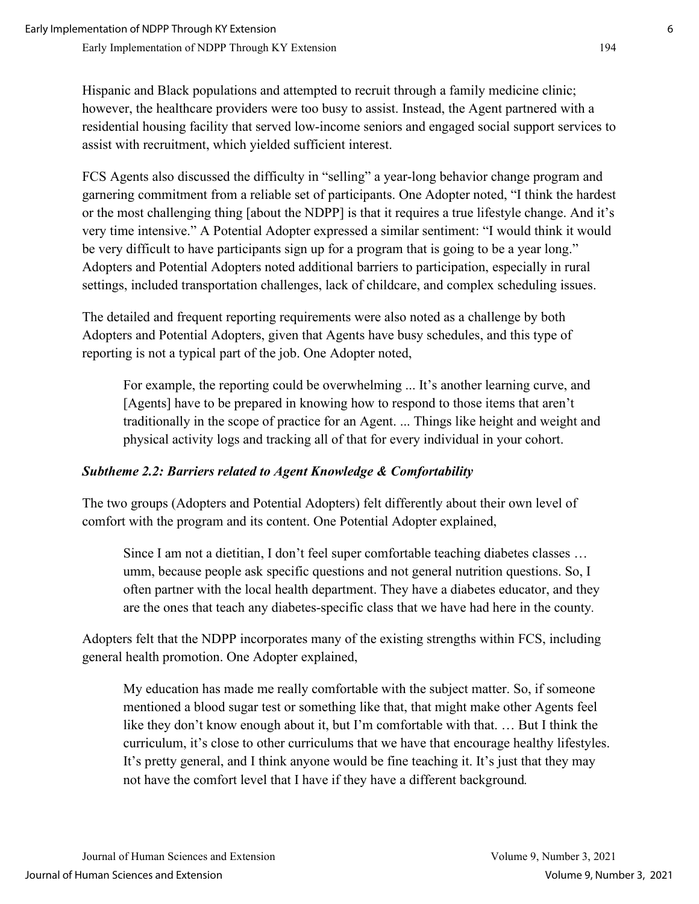Hispanic and Black populations and attempted to recruit through a family medicine clinic; however, the healthcare providers were too busy to assist. Instead, the Agent partnered with a residential housing facility that served low-income seniors and engaged social support services to assist with recruitment, which yielded sufficient interest.

FCS Agents also discussed the difficulty in "selling" a year-long behavior change program and garnering commitment from a reliable set of participants. One Adopter noted, "I think the hardest or the most challenging thing [about the NDPP] is that it requires a true lifestyle change. And it's very time intensive." A Potential Adopter expressed a similar sentiment: "I would think it would be very difficult to have participants sign up for a program that is going to be a year long." Adopters and Potential Adopters noted additional barriers to participation, especially in rural settings, included transportation challenges, lack of childcare, and complex scheduling issues.

The detailed and frequent reporting requirements were also noted as a challenge by both Adopters and Potential Adopters, given that Agents have busy schedules, and this type of reporting is not a typical part of the job. One Adopter noted,

For example, the reporting could be overwhelming ... It's another learning curve, and [Agents] have to be prepared in knowing how to respond to those items that aren't traditionally in the scope of practice for an Agent. ... Things like height and weight and physical activity logs and tracking all of that for every individual in your cohort.

## *Subtheme 2.2: Barriers related to Agent Knowledge & Comfortability*

The two groups (Adopters and Potential Adopters) felt differently about their own level of comfort with the program and its content. One Potential Adopter explained,

Since I am not a dietitian, I don't feel super comfortable teaching diabetes classes … umm, because people ask specific questions and not general nutrition questions. So, I often partner with the local health department. They have a diabetes educator, and they are the ones that teach any diabetes-specific class that we have had here in the county*.* 

Adopters felt that the NDPP incorporates many of the existing strengths within FCS, including general health promotion. One Adopter explained,

My education has made me really comfortable with the subject matter. So, if someone mentioned a blood sugar test or something like that, that might make other Agents feel like they don't know enough about it, but I'm comfortable with that. … But I think the curriculum, it's close to other curriculums that we have that encourage healthy lifestyles. It's pretty general, and I think anyone would be fine teaching it. It's just that they may not have the comfort level that I have if they have a different background*.*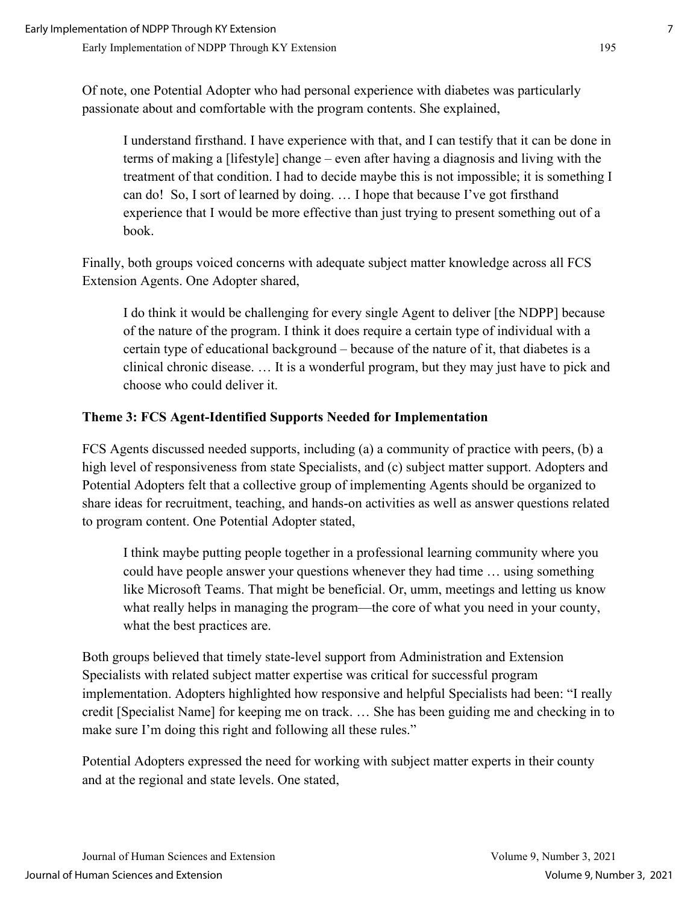Of note, one Potential Adopter who had personal experience with diabetes was particularly passionate about and comfortable with the program contents. She explained,

I understand firsthand. I have experience with that, and I can testify that it can be done in terms of making a [lifestyle] change – even after having a diagnosis and living with the treatment of that condition. I had to decide maybe this is not impossible; it is something I can do! So, I sort of learned by doing. … I hope that because I've got firsthand experience that I would be more effective than just trying to present something out of a book.

Finally, both groups voiced concerns with adequate subject matter knowledge across all FCS Extension Agents. One Adopter shared,

I do think it would be challenging for every single Agent to deliver [the NDPP] because of the nature of the program. I think it does require a certain type of individual with a certain type of educational background – because of the nature of it, that diabetes is a clinical chronic disease. … It is a wonderful program, but they may just have to pick and choose who could deliver it.

#### **Theme 3: FCS Agent-Identified Supports Needed for Implementation**

FCS Agents discussed needed supports, including (a) a community of practice with peers, (b) a high level of responsiveness from state Specialists, and (c) subject matter support. Adopters and Potential Adopters felt that a collective group of implementing Agents should be organized to share ideas for recruitment, teaching, and hands-on activities as well as answer questions related to program content. One Potential Adopter stated,

I think maybe putting people together in a professional learning community where you could have people answer your questions whenever they had time … using something like Microsoft Teams. That might be beneficial. Or, umm, meetings and letting us know what really helps in managing the program—the core of what you need in your county, what the best practices are.

Both groups believed that timely state-level support from Administration and Extension Specialists with related subject matter expertise was critical for successful program implementation. Adopters highlighted how responsive and helpful Specialists had been: "I really credit [Specialist Name] for keeping me on track. … She has been guiding me and checking in to make sure I'm doing this right and following all these rules."

Potential Adopters expressed the need for working with subject matter experts in their county and at the regional and state levels. One stated,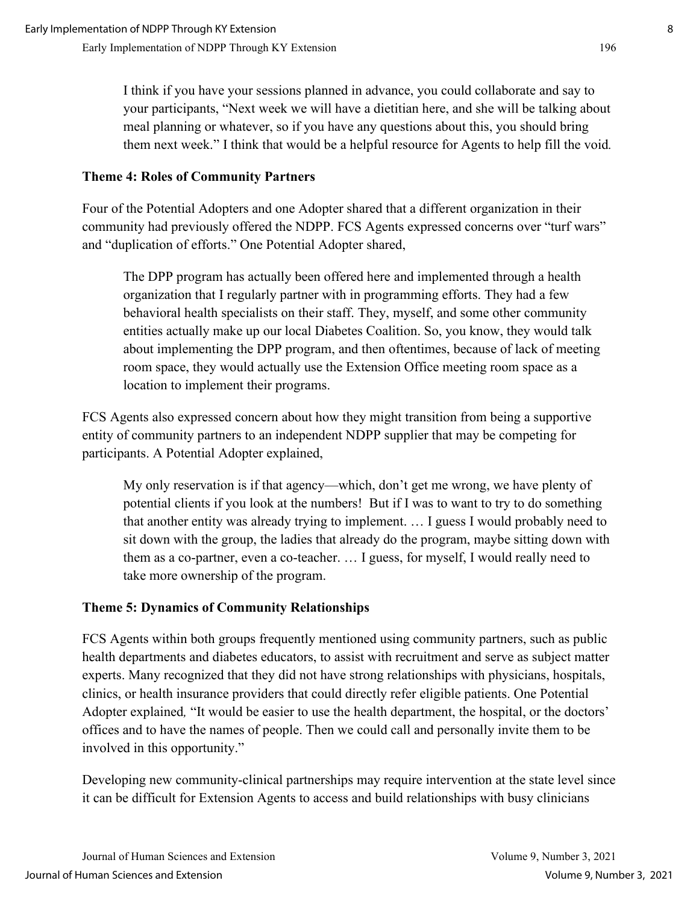I think if you have your sessions planned in advance, you could collaborate and say to your participants, "Next week we will have a dietitian here, and she will be talking about meal planning or whatever, so if you have any questions about this, you should bring them next week." I think that would be a helpful resource for Agents to help fill the void*.*

#### **Theme 4: Roles of Community Partners**

Four of the Potential Adopters and one Adopter shared that a different organization in their community had previously offered the NDPP. FCS Agents expressed concerns over "turf wars" and "duplication of efforts." One Potential Adopter shared,

The DPP program has actually been offered here and implemented through a health organization that I regularly partner with in programming efforts. They had a few behavioral health specialists on their staff. They, myself, and some other community entities actually make up our local Diabetes Coalition. So, you know, they would talk about implementing the DPP program, and then oftentimes, because of lack of meeting room space, they would actually use the Extension Office meeting room space as a location to implement their programs.

FCS Agents also expressed concern about how they might transition from being a supportive entity of community partners to an independent NDPP supplier that may be competing for participants. A Potential Adopter explained,

My only reservation is if that agency—which, don't get me wrong, we have plenty of potential clients if you look at the numbers! But if I was to want to try to do something that another entity was already trying to implement. … I guess I would probably need to sit down with the group, the ladies that already do the program, maybe sitting down with them as a co-partner, even a co-teacher. … I guess, for myself, I would really need to take more ownership of the program.

## **Theme 5: Dynamics of Community Relationships**

FCS Agents within both groups frequently mentioned using community partners, such as public health departments and diabetes educators, to assist with recruitment and serve as subject matter experts. Many recognized that they did not have strong relationships with physicians, hospitals, clinics, or health insurance providers that could directly refer eligible patients. One Potential Adopter explained*,* "It would be easier to use the health department, the hospital, or the doctors' offices and to have the names of people. Then we could call and personally invite them to be involved in this opportunity."

Developing new community-clinical partnerships may require intervention at the state level since it can be difficult for Extension Agents to access and build relationships with busy clinicians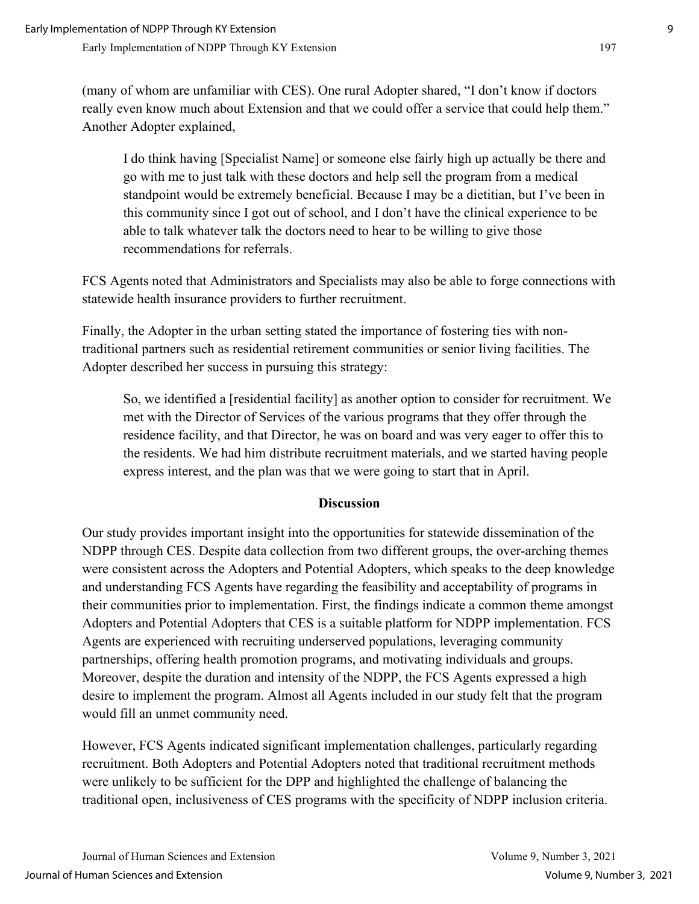(many of whom are unfamiliar with CES). One rural Adopter shared, "I don't know if doctors really even know much about Extension and that we could offer a service that could help them." Another Adopter explained,

I do think having [Specialist Name] or someone else fairly high up actually be there and go with me to just talk with these doctors and help sell the program from a medical standpoint would be extremely beneficial. Because I may be a dietitian, but I've been in this community since I got out of school, and I don't have the clinical experience to be able to talk whatever talk the doctors need to hear to be willing to give those recommendations for referrals.

FCS Agents noted that Administrators and Specialists may also be able to forge connections with statewide health insurance providers to further recruitment.

Finally, the Adopter in the urban setting stated the importance of fostering ties with nontraditional partners such as residential retirement communities or senior living facilities. The Adopter described her success in pursuing this strategy:

So, we identified a [residential facility] as another option to consider for recruitment. We met with the Director of Services of the various programs that they offer through the residence facility, and that Director, he was on board and was very eager to offer this to the residents. We had him distribute recruitment materials, and we started having people express interest, and the plan was that we were going to start that in April.

#### **Discussion**

Our study provides important insight into the opportunities for statewide dissemination of the NDPP through CES. Despite data collection from two different groups, the over-arching themes were consistent across the Adopters and Potential Adopters, which speaks to the deep knowledge and understanding FCS Agents have regarding the feasibility and acceptability of programs in their communities prior to implementation. First, the findings indicate a common theme amongst Adopters and Potential Adopters that CES is a suitable platform for NDPP implementation. FCS Agents are experienced with recruiting underserved populations, leveraging community partnerships, offering health promotion programs, and motivating individuals and groups. Moreover, despite the duration and intensity of the NDPP, the FCS Agents expressed a high desire to implement the program. Almost all Agents included in our study felt that the program would fill an unmet community need.

However, FCS Agents indicated significant implementation challenges, particularly regarding recruitment. Both Adopters and Potential Adopters noted that traditional recruitment methods were unlikely to be sufficient for the DPP and highlighted the challenge of balancing the traditional open, inclusiveness of CES programs with the specificity of NDPP inclusion criteria.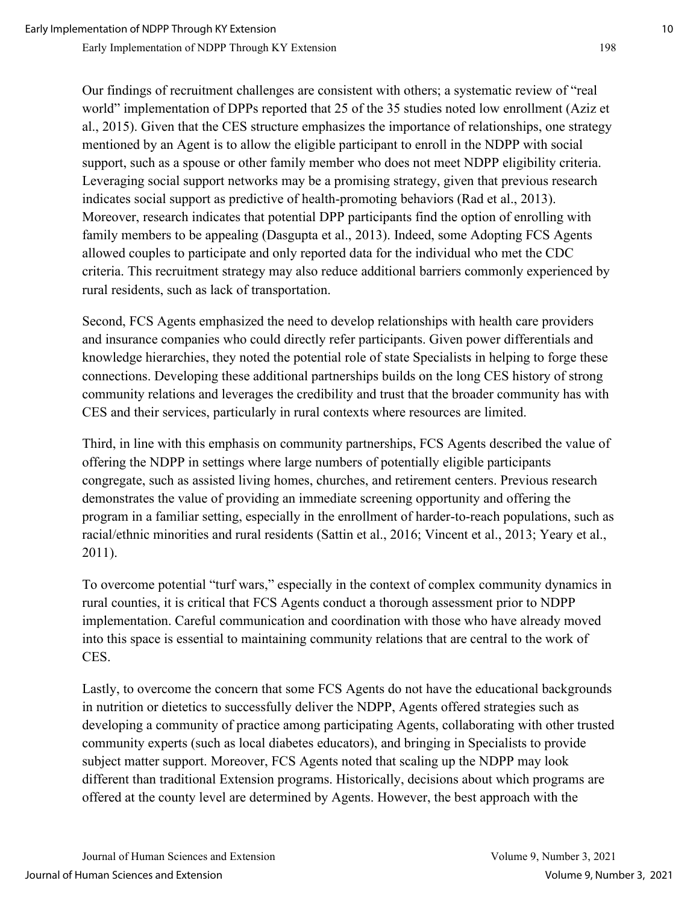Our findings of recruitment challenges are consistent with others; a systematic review of "real world" implementation of DPPs reported that 25 of the 35 studies noted low enrollment (Aziz et al., 2015). Given that the CES structure emphasizes the importance of relationships, one strategy mentioned by an Agent is to allow the eligible participant to enroll in the NDPP with social support, such as a spouse or other family member who does not meet NDPP eligibility criteria. Leveraging social support networks may be a promising strategy, given that previous research indicates social support as predictive of health-promoting behaviors (Rad et al., 2013). Moreover, research indicates that potential DPP participants find the option of enrolling with family members to be appealing (Dasgupta et al., 2013). Indeed, some Adopting FCS Agents allowed couples to participate and only reported data for the individual who met the CDC criteria. This recruitment strategy may also reduce additional barriers commonly experienced by rural residents, such as lack of transportation.

Second, FCS Agents emphasized the need to develop relationships with health care providers and insurance companies who could directly refer participants. Given power differentials and knowledge hierarchies, they noted the potential role of state Specialists in helping to forge these connections. Developing these additional partnerships builds on the long CES history of strong community relations and leverages the credibility and trust that the broader community has with CES and their services, particularly in rural contexts where resources are limited.

Third, in line with this emphasis on community partnerships, FCS Agents described the value of offering the NDPP in settings where large numbers of potentially eligible participants congregate, such as assisted living homes, churches, and retirement centers. Previous research demonstrates the value of providing an immediate screening opportunity and offering the program in a familiar setting, especially in the enrollment of harder-to-reach populations, such as racial/ethnic minorities and rural residents (Sattin et al., 2016; Vincent et al., 2013; Yeary et al., 2011).

To overcome potential "turf wars," especially in the context of complex community dynamics in rural counties, it is critical that FCS Agents conduct a thorough assessment prior to NDPP implementation. Careful communication and coordination with those who have already moved into this space is essential to maintaining community relations that are central to the work of CES.

Lastly, to overcome the concern that some FCS Agents do not have the educational backgrounds in nutrition or dietetics to successfully deliver the NDPP, Agents offered strategies such as developing a community of practice among participating Agents, collaborating with other trusted community experts (such as local diabetes educators), and bringing in Specialists to provide subject matter support. Moreover, FCS Agents noted that scaling up the NDPP may look different than traditional Extension programs. Historically, decisions about which programs are offered at the county level are determined by Agents. However, the best approach with the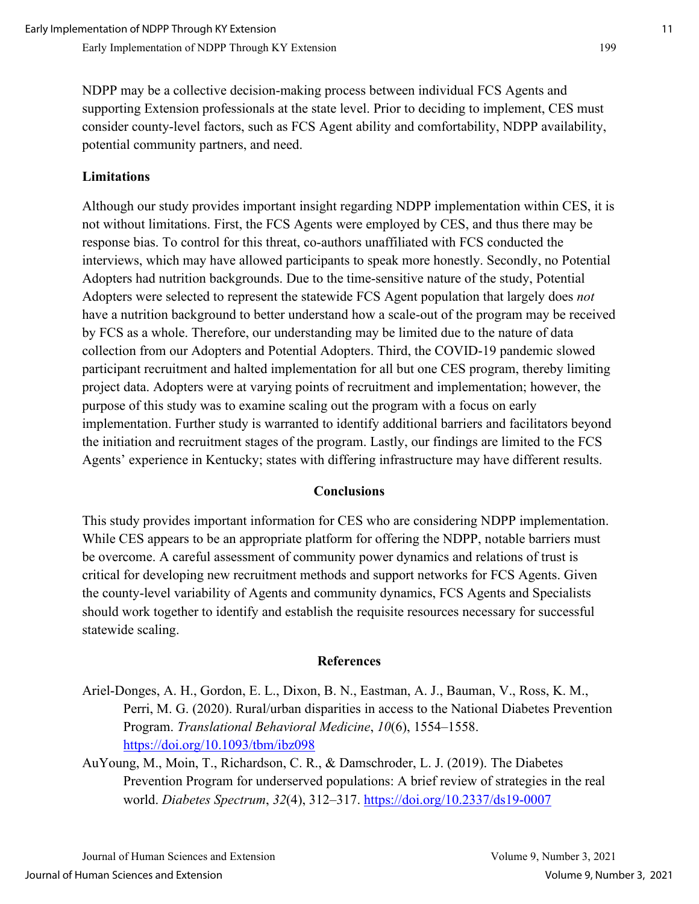NDPP may be a collective decision-making process between individual FCS Agents and supporting Extension professionals at the state level. Prior to deciding to implement, CES must consider county-level factors, such as FCS Agent ability and comfortability, NDPP availability, potential community partners, and need.

#### **Limitations**

Although our study provides important insight regarding NDPP implementation within CES, it is not without limitations. First, the FCS Agents were employed by CES, and thus there may be response bias. To control for this threat, co-authors unaffiliated with FCS conducted the interviews, which may have allowed participants to speak more honestly. Secondly, no Potential Adopters had nutrition backgrounds. Due to the time-sensitive nature of the study, Potential Adopters were selected to represent the statewide FCS Agent population that largely does *not* have a nutrition background to better understand how a scale-out of the program may be received by FCS as a whole. Therefore, our understanding may be limited due to the nature of data collection from our Adopters and Potential Adopters. Third, the COVID-19 pandemic slowed participant recruitment and halted implementation for all but one CES program, thereby limiting project data. Adopters were at varying points of recruitment and implementation; however, the purpose of this study was to examine scaling out the program with a focus on early implementation. Further study is warranted to identify additional barriers and facilitators beyond the initiation and recruitment stages of the program. Lastly, our findings are limited to the FCS Agents' experience in Kentucky; states with differing infrastructure may have different results.

#### **Conclusions**

This study provides important information for CES who are considering NDPP implementation. While CES appears to be an appropriate platform for offering the NDPP, notable barriers must be overcome. A careful assessment of community power dynamics and relations of trust is critical for developing new recruitment methods and support networks for FCS Agents. Given the county-level variability of Agents and community dynamics, FCS Agents and Specialists should work together to identify and establish the requisite resources necessary for successful statewide scaling.

#### **References**

Ariel-Donges, A. H., Gordon, E. L., Dixon, B. N., Eastman, A. J., Bauman, V., Ross, K. M., Perri, M. G. (2020). Rural/urban disparities in access to the National Diabetes Prevention Program. *Translational Behavioral Medicine*, *10*(6), 1554–1558. <https://doi.org/10.1093/tbm/ibz098>

AuYoung, M., Moin, T., Richardson, C. R., & Damschroder, L. J. (2019). The Diabetes Prevention Program for underserved populations: A brief review of strategies in the real world. *Diabetes Spectrum*, *32*(4), 312–317.<https://doi.org/10.2337/ds19-0007>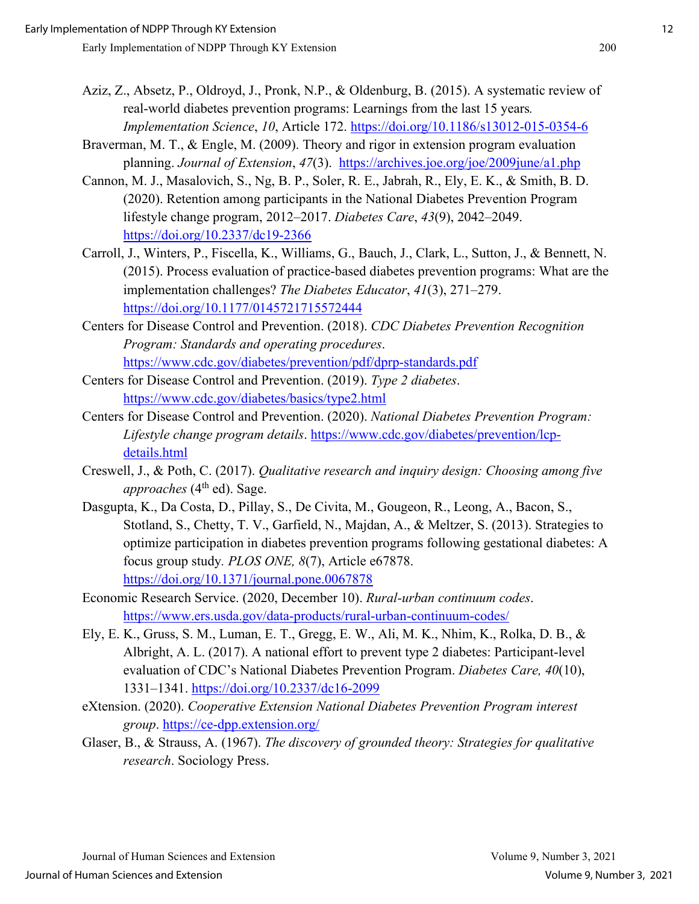- Aziz, Z., Absetz, P., Oldroyd, J., Pronk, N.P., & Oldenburg, B. (2015). A systematic review of real-world diabetes prevention programs: Learnings from the last 15 years*. Implementation Science*, *10*, Article 172.<https://doi.org/10.1186/s13012-015-0354-6>
- Braverman, M. T., & Engle, M. (2009). Theory and rigor in extension program evaluation planning. *Journal of Extension*, *47*(3). <https://archives.joe.org/joe/2009june/a1.php>
- Cannon, M. J., Masalovich, S., Ng, B. P., Soler, R. E., Jabrah, R., Ely, E. K., & Smith, B. D. (2020). Retention among participants in the National Diabetes Prevention Program lifestyle change program, 2012–2017. *Diabetes Care*, *43*(9), 2042–2049. <https://doi.org/10.2337/dc19-2366>
- Carroll, J., Winters, P., Fiscella, K., Williams, G., Bauch, J., Clark, L., Sutton, J., & Bennett, N. (2015). Process evaluation of practice-based diabetes prevention programs: What are the implementation challenges? *The Diabetes Educator*, *41*(3), 271–279. <https://doi.org/10.1177/0145721715572444>
- Centers for Disease Control and Prevention. (2018). *CDC Diabetes Prevention Recognition Program: Standards and operating procedures*. <https://www.cdc.gov/diabetes/prevention/pdf/dprp-standards.pdf>
- Centers for Disease Control and Prevention. (2019). *Type 2 diabetes*. <https://www.cdc.gov/diabetes/basics/type2.html>
- Centers for Disease Control and Prevention. (2020). *National Diabetes Prevention Program: Lifestyle change program details*. [https://www.cdc.gov/diabetes/prevention/lcp](https://www.cdc.gov/diabetes/prevention/lcp-details.html)[details.html](https://www.cdc.gov/diabetes/prevention/lcp-details.html)
- Creswell, J., & Poth, C. (2017). *Qualitative research and inquiry design: Choosing among five approaches* (4<sup>th</sup> ed). Sage.
- Dasgupta, K., Da Costa, D., Pillay, S., De Civita, M., Gougeon, R., Leong, A., Bacon, S., Stotland, S., Chetty, T. V., Garfield, N., Majdan, A., & Meltzer, S. (2013). Strategies to optimize participation in diabetes prevention programs following gestational diabetes: A focus group study*. PLOS ONE, 8*(7), Article e67878. <https://doi.org/10.1371/journal.pone.0067878>
- Economic Research Service. (2020, December 10). *Rural-urban continuum codes*. <https://www.ers.usda.gov/data-products/rural-urban-continuum-codes/>
- Ely, E. K., Gruss, S. M., Luman, E. T., Gregg, E. W., Ali, M. K., Nhim, K., Rolka, D. B., & Albright, A. L. (2017). A national effort to prevent type 2 diabetes: Participant-level evaluation of CDC's National Diabetes Prevention Program. *Diabetes Care, 40*(10), 1331–1341.<https://doi.org/10.2337/dc16-2099>
- eXtension. (2020). *Cooperative Extension National Diabetes Prevention Program interest group*.<https://ce-dpp.extension.org/>
- Glaser, B., & Strauss, A. (1967). *The discovery of grounded theory: Strategies for qualitative research*. Sociology Press.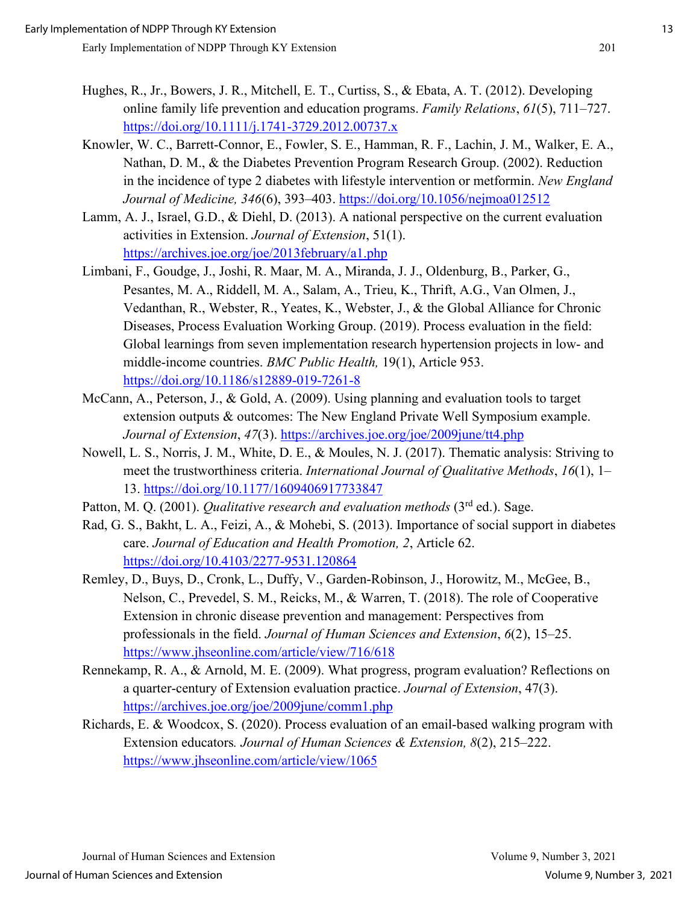- Hughes, R., Jr., Bowers, J. R., Mitchell, E. T., Curtiss, S., & Ebata, A. T. (2012). Developing online family life prevention and education programs. *Family Relations*, *61*(5), 711–727. <https://doi.org/10.1111/j.1741-3729.2012.00737.x>
- Knowler, W. C., Barrett-Connor, E., Fowler, S. E., Hamman, R. F., Lachin, J. M., Walker, E. A., Nathan, D. M., & the Diabetes Prevention Program Research Group. (2002). Reduction in the incidence of type 2 diabetes with lifestyle intervention or metformin. *New England Journal of Medicine, 346*(6), 393–403.<https://doi.org/10.1056/nejmoa012512>
- Lamm, A. J., Israel, G.D., & Diehl, D. (2013). A national perspective on the current evaluation activities in Extension. *Journal of Extension*, 51(1). <https://archives.joe.org/joe/2013february/a1.php>
- Limbani, F., Goudge, J., Joshi, R. Maar, M. A., Miranda, J. J., Oldenburg, B., Parker, G., Pesantes, M. A., Riddell, M. A., Salam, A., Trieu, K., Thrift, A.G., Van Olmen, J., Vedanthan, R., Webster, R., Yeates, K., Webster, J., & the Global Alliance for Chronic Diseases, Process Evaluation Working Group. (2019). Process evaluation in the field: Global learnings from seven implementation research hypertension projects in low- and middle-income countries. *BMC Public Health,* 19(1), Article 953. <https://doi.org/10.1186/s12889-019-7261-8>
- McCann, A., Peterson, J., & Gold, A. (2009). Using planning and evaluation tools to target extension outputs & outcomes: The New England Private Well Symposium example. *Journal of Extension*, *47*(3). <https://archives.joe.org/joe/2009june/tt4.php>
- Nowell, L. S., Norris, J. M., White, D. E., & Moules, N. J. (2017). Thematic analysis: Striving to meet the trustworthiness criteria. *International Journal of Qualitative Methods*, *16*(1), 1– 13.<https://doi.org/10.1177/1609406917733847>
- Patton, M. Q. (2001). *Qualitative research and evaluation methods* (3<sup>rd</sup> ed.). Sage.
- Rad, G. S., Bakht, L. A., Feizi, A., & Mohebi, S. (2013). Importance of social support in diabetes care. *Journal of Education and Health Promotion, 2*, Article 62. <https://doi.org/10.4103/2277-9531.120864>
- Remley, D., Buys, D., Cronk, L., Duffy, V., Garden-Robinson, J., Horowitz, M., McGee, B., Nelson, C., Prevedel, S. M., Reicks, M., & Warren, T. (2018). The role of Cooperative Extension in chronic disease prevention and management: Perspectives from professionals in the field. *Journal of Human Sciences and Extension*, *6*(2), 15–25. <https://www.jhseonline.com/article/view/716/618>
- Rennekamp, R. A., & Arnold, M. E. (2009). What progress, program evaluation? Reflections on a quarter-century of Extension evaluation practice. *Journal of Extension*, 47(3). <https://archives.joe.org/joe/2009june/comm1.php>
- Richards, E. & Woodcox, S. (2020). Process evaluation of an email-based walking program with Extension educators*. Journal of Human Sciences & Extension, 8*(2), 215–222. <https://www.jhseonline.com/article/view/1065>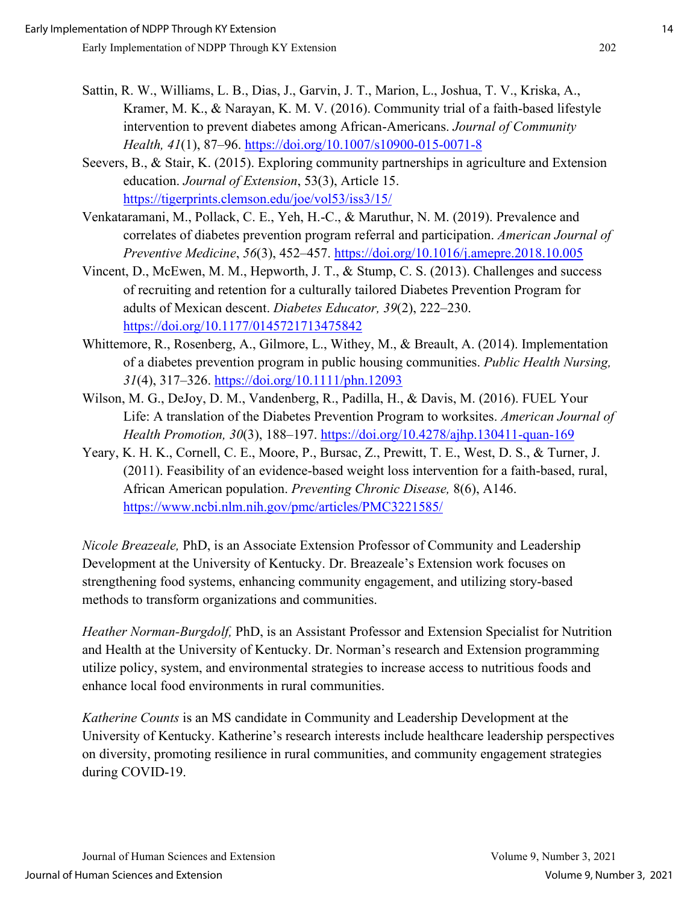- Sattin, R. W., Williams, L. B., Dias, J., Garvin, J. T., Marion, L., Joshua, T. V., Kriska, A., Kramer, M. K., & Narayan, K. M. V. (2016). Community trial of a faith-based lifestyle intervention to prevent diabetes among African-Americans. *Journal of Community Health, 41*(1), 87–96.<https://doi.org/10.1007/s10900-015-0071-8>
- Seevers, B., & Stair, K. (2015). Exploring community partnerships in agriculture and Extension education. *Journal of Extension*, 53(3), Article 15. <https://tigerprints.clemson.edu/joe/vol53/iss3/15/>
- Venkataramani, M., Pollack, C. E., Yeh, H.-C., & Maruthur, N. M. (2019). Prevalence and correlates of diabetes prevention program referral and participation. *American Journal of Preventive Medicine*, *56*(3), 452–457.<https://doi.org/10.1016/j.amepre.2018.10.005>
- Vincent, D., McEwen, M. M., Hepworth, J. T., & Stump, C. S. (2013). Challenges and success of recruiting and retention for a culturally tailored Diabetes Prevention Program for adults of Mexican descent. *Diabetes Educator, 39*(2), 222–230. <https://doi.org/10.1177/0145721713475842>
- Whittemore, R., Rosenberg, A., Gilmore, L., Withey, M., & Breault, A. (2014). Implementation of a diabetes prevention program in public housing communities. *Public Health Nursing, 31*(4), 317–326.<https://doi.org/10.1111/phn.12093>
- Wilson, M. G., DeJoy, D. M., Vandenberg, R., Padilla, H., & Davis, M. (2016). FUEL Your Life: A translation of the Diabetes Prevention Program to worksites. *American Journal of Health Promotion, 30*(3), 188–197.<https://doi.org/10.4278/ajhp.130411-quan-169>
- Yeary, K. H. K., Cornell, C. E., Moore, P., Bursac, Z., Prewitt, T. E., West, D. S., & Turner, J. (2011). Feasibility of an evidence-based weight loss intervention for a faith-based, rural, African American population. *Preventing Chronic Disease,* 8(6), A146. <https://www.ncbi.nlm.nih.gov/pmc/articles/PMC3221585/>

*Nicole Breazeale,* PhD, is an Associate Extension Professor of Community and Leadership Development at the University of Kentucky. Dr. Breazeale's Extension work focuses on strengthening food systems, enhancing community engagement, and utilizing story-based methods to transform organizations and communities.

*Heather Norman-Burgdolf,* PhD, is an Assistant Professor and Extension Specialist for Nutrition and Health at the University of Kentucky. Dr. Norman's research and Extension programming utilize policy, system, and environmental strategies to increase access to nutritious foods and enhance local food environments in rural communities.

*Katherine Counts* is an MS candidate in Community and Leadership Development at the University of Kentucky. Katherine's research interests include healthcare leadership perspectives on diversity, promoting resilience in rural communities, and community engagement strategies during COVID-19.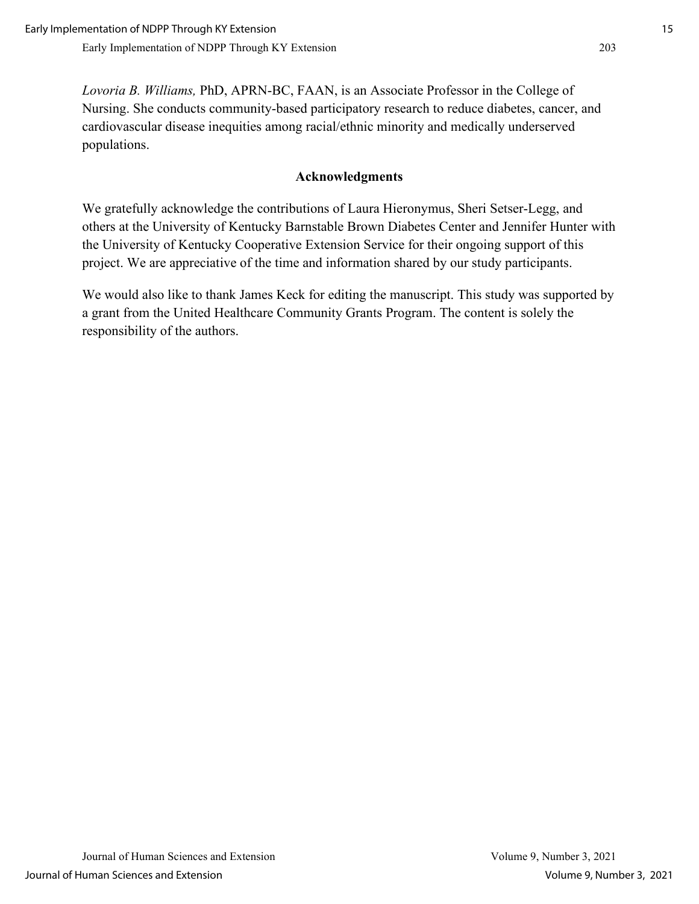*Lovoria B. Williams,* PhD, APRN-BC, FAAN, is an Associate Professor in the College of Nursing. She conducts community-based participatory research to reduce diabetes, cancer, and cardiovascular disease inequities among racial/ethnic minority and medically underserved populations.

### **Acknowledgments**

We gratefully acknowledge the contributions of Laura Hieronymus, Sheri Setser-Legg, and others at the University of Kentucky Barnstable Brown Diabetes Center and Jennifer Hunter with the University of Kentucky Cooperative Extension Service for their ongoing support of this project. We are appreciative of the time and information shared by our study participants.

We would also like to thank James Keck for editing the manuscript. This study was supported by a grant from the United Healthcare Community Grants Program. The content is solely the responsibility of the authors.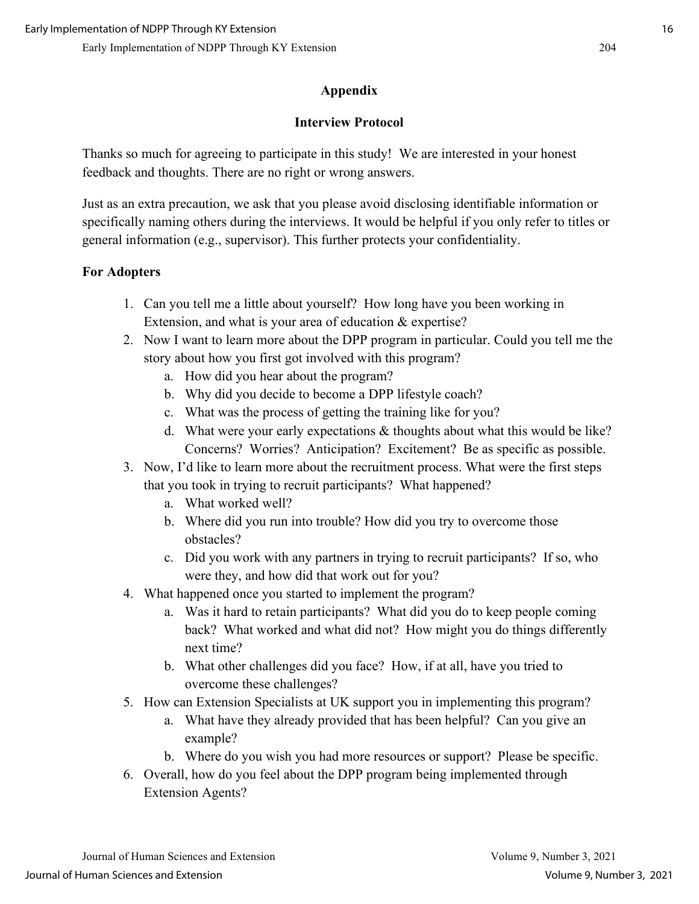## **Appendix**

### **Interview Protocol**

Thanks so much for agreeing to participate in this study! We are interested in your honest feedback and thoughts. There are no right or wrong answers.

Just as an extra precaution, we ask that you please avoid disclosing identifiable information or specifically naming others during the interviews. It would be helpful if you only refer to titles or general information (e.g., supervisor). This further protects your confidentiality.

## **For Adopters**

- 1. Can you tell me a little about yourself? How long have you been working in Extension, and what is your area of education & expertise?
- 2. Now I want to learn more about the DPP program in particular. Could you tell me the story about how you first got involved with this program?
	- a. How did you hear about the program?
	- b. Why did you decide to become a DPP lifestyle coach?
	- c. What was the process of getting the training like for you?
	- d. What were your early expectations & thoughts about what this would be like? Concerns? Worries? Anticipation? Excitement? Be as specific as possible.
- 3. Now, I'd like to learn more about the recruitment process. What were the first steps that you took in trying to recruit participants? What happened?
	- a. What worked well?
	- b. Where did you run into trouble? How did you try to overcome those obstacles?
	- c. Did you work with any partners in trying to recruit participants? If so, who were they, and how did that work out for you?
- 4. What happened once you started to implement the program?
	- a. Was it hard to retain participants? What did you do to keep people coming back? What worked and what did not? How might you do things differently next time?
	- b. What other challenges did you face? How, if at all, have you tried to overcome these challenges?
- 5. How can Extension Specialists at UK support you in implementing this program?
	- a. What have they already provided that has been helpful? Can you give an example?
	- b. Where do you wish you had more resources or support? Please be specific.
- 6. Overall, how do you feel about the DPP program being implemented through Extension Agents?